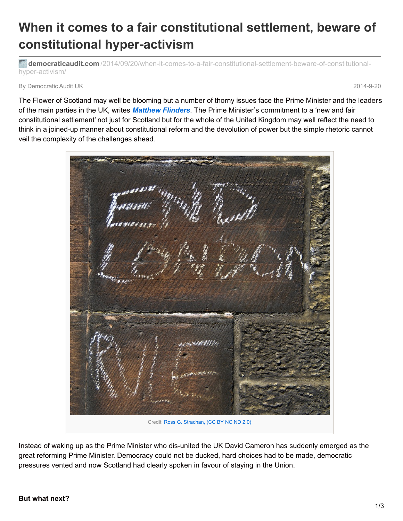## **When it comes to a fair constitutional settlement, beware of constitutional hyper-activism**

**democraticaudit.com** [/2014/09/20/when-it-comes-to-a-fair-constitutional-settlement-beware-of-constitutional](http://www.democraticaudit.com/2014/09/20/when-it-comes-to-a-fair-constitutional-settlement-beware-of-constitutional-hyper-activism/)hyper-activism/

By Democratic Audit UK 2014-9-20

The Flower of Scotland may well be blooming but a number of thorny issues face the Prime Minister and the leaders of the main parties in the UK, writes *[Matthew](http://blogs.lse.ac.uk/politicsandpolicy/a-new-and-fair-constitutional-settlement-beware-of-constitutional-hyper-activism/#Author) Flinders*. The Prime Minister's commitment to a 'new and fair constitutional settlement' not just for Scotland but for the whole of the United Kingdom may well reflect the need to think in a joined-up manner about constitutional reform and the devolution of power but the simple rhetoric cannot veil the complexity of the challenges ahead.

Credit: Ross G. [Strachan,](https://www.flickr.com/photos/ross_strachan/4587598894/in/photolist-7ZoDjE-dPzD8e-dPFfTm-7Zv9Md-JMRZZ-JMS2n-JMRZa-bbSEot-bbSu3r-bbSntx-bbSM9P-bbSBeR-bbSssD-bbRSQF-bbSpxH-bbSzYK-bbSKEZ-bbSHf8-bbS9NX-bbSweV-bbSr8X-bbSNw4-bbSSD2-bbSRh8-bbSXKF-bbT48H-bbSZ7x-bbSWbg-bbSTSi-bbSQ7P-bbS5Ge-5zmTN6-89h8sC-9FEhvg-GDG3e-JqMbY-9gXKsp-9h1Sju-9gXKnz-9h1S5W-9gXK9a-JKMre-HJvs2-JN73x-7SBVy9-6tLbPs-Jr8ZD-JMS1z-JKMoP-JDG8y) (CC BY NC ND 2.0)

Instead of waking up as the Prime Minister who dis-united the UK David Cameron has suddenly emerged as the great reforming Prime Minister. Democracy could not be ducked, hard choices had to be made, democratic pressures vented and now Scotland had clearly spoken in favour of staying in the Union.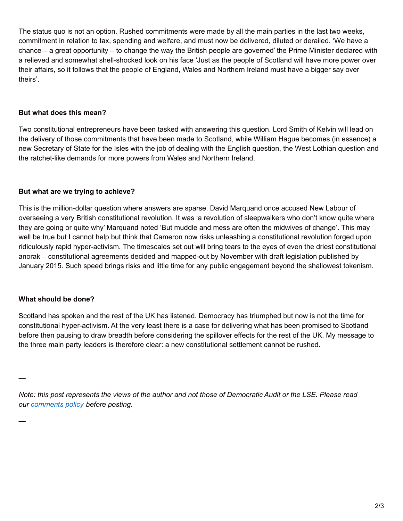The status quo is not an option. Rushed commitments were made by all the main parties in the last two weeks, commitment in relation to tax, spending and welfare, and must now be delivered, diluted or derailed. 'We have a chance – a great opportunity – to change the way the British people are governed' the Prime Minister declared with a relieved and somewhat shell-shocked look on his face 'Just as the people of Scotland will have more power over their affairs, so it follows that the people of England, Wales and Northern Ireland must have a bigger say over theirs'.

## **But what does this mean?**

Two constitutional entrepreneurs have been tasked with answering this question. Lord Smith of Kelvin will lead on the delivery of those commitments that have been made to Scotland, while William Hague becomes (in essence) a new Secretary of State for the Isles with the job of dealing with the English question, the West Lothian question and the ratchet-like demands for more powers from Wales and Northern Ireland.

## **But what are we trying to achieve?**

This is the million-dollar question where answers are sparse. David Marquand once accused New Labour of overseeing a very British constitutional revolution. It was 'a revolution of sleepwalkers who don't know quite where they are going or quite why' Marquand noted 'But muddle and mess are often the midwives of change'. This may well be true but I cannot help but think that Cameron now risks unleashing a constitutional revolution forged upon ridiculously rapid hyper-activism. The timescales set out will bring tears to the eyes of even the driest constitutional anorak – constitutional agreements decided and mapped-out by November with draft legislation published by January 2015. Such speed brings risks and little time for any public engagement beyond the shallowest tokenism.

## **What should be done?**

—

—

Scotland has spoken and the rest of the UK has listened. Democracy has triumphed but now is not the time for constitutional hyper-activism. At the very least there is a case for delivering what has been promised to Scotland before then pausing to draw breadth before considering the spillover effects for the rest of the UK. My message to the three main party leaders is therefore clear: a new constitutional settlement cannot be rushed.

Note: this post represents the views of the author and not those of Democratic Audit or the LSE. Please read *our [comments](http://www.democraticaudit.com/?page_id=700) policy before posting.*

2/3